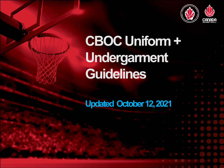

## **Updated October 12, 2021**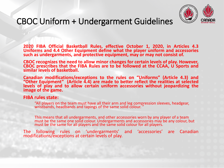

**2020 FIBA Official Basketball Rules, effective October 1, 2020, in Articles 4.3 Uniforms and 4.4 Other Equipment define what the player uniform and accessories such as undergarments, and protective equipment, may or may not consist of.**

**CBOC recognizes the need to allow minor changes for certain levels of play. However, CBOC prescribes that the FIBA Rules are to be followed at the CCAA, U Sports and similar levels of basketball.**

**Canadian modifications/exceptions to the rules on "Uniforms" (Article 4.3) and "Other Equipment" (Article 4.4) are made to better reflect the realities at selected levels of play and to allow certain uniform accessories without jeopardizing the image of the game.**

#### **FIBA rules state:**

"All players on the team must have all their arm and leg compression sleeves, headgear, wristbands, headbands and tapings of the same solid colour. "

This means that all undergarments, and other accessories worn by any player of a team must be the same one solid colour. Undergarments and accessories may be any colour, but must be the same for all players and the same solid colour for all players.

The following rules on 'undergarments' and 'accessories' are Canadian modifications/exceptions at certain levels of play.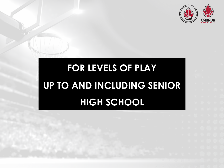

## **FOR LEVELS OF PLAY UP TO AND INCLUDING SENIOR HIGH SCHOOL**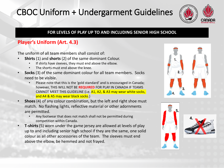

#### **FOR LEVELS OF PLAY UP TO AND INCLUDING SENIOR HIGH SCHOOL**

### **Player's Uniform (Art. 4.3)**

The uniform of all team members shall consist of:

- **Shirts** (1) and **shorts** (2) of the same dominant Colour.
	- If shirts have sleeves, they must end above the elbow.
	- The shorts must end above the knee.
- **Socks** (3) of the same dominant colour for all team members. Socks need to be visible.
	- Please note that this is the 'gold standard' and is encouraged in Canada; however, THIS WILL NOT BE **REQUIRED** FOR PLAY IN CANADA IF TEAMS CANNOT MEET THIS GUIDELINE (i.e. A1, A2, & A3 may wear white socks, and A4 & A5 may wear black socks.)
- **Shoes** (4) of any colour combination, but the left and right shoe must match. No flashing lights, reflective material or other adornments are permitted.
	- Any footwear that does not match shall not be permitted during competition within Canada.
- **T-shirts**(5) worn under the game jersey are allowed at levels of play up to and including senior high school if they are the same, one solid colour as all other accessories of the team. The sleeves must end above the elbow, be hemmed and not frayed.





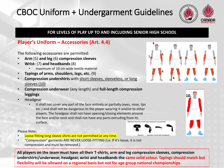

#### **FOR LEVELS OF PLAY UP TO AND INCLUDING SENIOR HIGH SCHOOL**

#### **Player's Uniform – Accessories (Art. 4.4)**

The following accessories are permitted:

- **Arm** (5) **and leg** (6) **compression sleeves**
- **Wrist-** (7) **and headbands** (8)
	- maximum of 10 cm wide textile material
- **Tapings of arms, shoulders, legs, etc.** (9)
- **Compression undershirts** with short sleeves, sleeveless, or long sleeves (10)
- **Compression underwear** (any length) and **full-length compression leggings**
- Headgear
	- It shall not cover any part of the face entirely or partially (eyes, nose, lips etc.) and shall not be dangerous to the player wearing it and/or to other players. The headgear shall not have opening/closing elements around the face and/or neck and shall not have any parts extruding from its surface.

Please Note:

- Loose-fitting long sleeve shirts are not permitted at any time.
- "Compression" garments ARE NEVER LOOSE-FITTING (i.e. If it's loose, it is not compression and must be removed.)

**All players on the team must have all their T-shirts, arm and leg compression sleeves, compression undershirts/underwear, headgear, wrist and headbands the same solid colour. Tapings should match but flexibility will be allowed on a regional basis but not for age group national championships.** 



**10.**

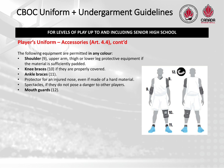

#### **FOR LEVELS OF PLAY UP TO AND INCLUDING SENIOR HIGH SCHOOL**

#### **Player's Uniform – Accessories (Art. 4.4), cont'd**

The following equipment are permitted **in any colour**:

- **Shoulder** (9), upper arm, thigh or lower leg protective equipment if the material is sufficiently padded.
- **Knee braces** (10) if they are properly covered.
- **Ankle braces** (11).
- Protector for an injured nose, even if made of a hard material.
- Spectacles, if they do not pose a danger to other players.
- **Mouth guards** (12).

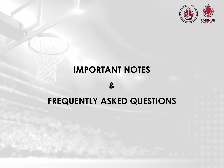

### **IMPORTANT NOTES**

**&** 

## **FREQUENTLY ASKED QUESTIONS**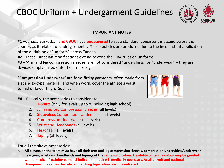

#### **IMPORTANT NOTES**

**#1** –Canada Basketball **and CBOC** have **endeavored** to set a standard, consistent message across the country as it relates to 'undergarments'. These policies are produced due to the inconsistent application of the definition of "uniform" across Canada.

**#2** - These Canadian modifications extend beyond the FIBA rules on uniforms.

**#3** – 'Arm and leg compression sleeves' are not considered "undershirts" or "underwear" – they are devices simply pulled onto the arm or leg.

"**Compression Underwear**" are form-fitting garments, often made from a spandex-type material, and when worn, cover the athlete's waist to mid or lower thigh. Such as:

**#4** – Basically, the accessories to consider are:

- 1. T-Shirts (only for levels up to & including high school)
- 2. Arm and Leg Compression Sleeves (all levels)
- **3. Sleeveless** Compression Undershirts (all levels)
- 4. Compression Underwear (all levels)
- 5. Wrist and Headbands (all levels)
- 6. Headgear (all levels)
- 7. Taping (all levels)

#### **For all the above accessories:**

o **All players on the team must have all their arm and leg compression sleeves, compression undershirts/underwear, headgear, wrist- and headbands and tapings of the same solid colour. Flexibility on taping colour may be granted where medical / training personal indicate the taping is medically necessary. At all playoff and national championships games the rule on matching tape colour shall be enforced.** 

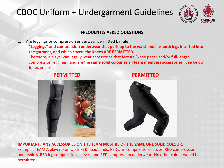

#### **FREQUENTLY ASKED QUESTIONS**

1. Are leggings or compression underwear permitted by rule?

**"Leggings" and compression underwear that pulls up to the waist and has both legs inserted into the garment, and which covers the knees ARE PERMITTED.**

Therefore, a player can legally wear accessories that feature "knee pads" and/or full-length compression leggings…and are the **same solid colour as all team members accessories.** See below for examples:

#### **PERMITTED PERMITTED**





**IMPORTANT: ANY ACCESSORIES ON THE TEAM MUST BE OF THE SAME ONE SOLID COLOUR.** Example: TEAM A players can wear RED headbands, RED arm compression sleeves, RED compression undershirts, RED leg compression sleeves, and RED compression underwear. No other colour would be permitted.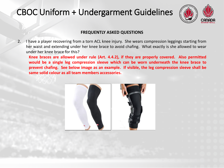

#### **FREQUENTLY ASKED QUESTIONS**

2. I have a player recovering from a torn ACL knee injury. She wears compression leggings starting from her waist and extending under her knee brace to avoid chafing. What exactly is she allowed to wear under her knee brace for this?

**Knee braces are allowed under rule (Art. 4.4.2), if they are properly covered. Also permitted would be a single leg compression sleeve which can be worn underneath the knee brace to prevent chafing. See below image as an example. If visible, the leg compression sleeve shall be same solid colour as all team members accessories.**

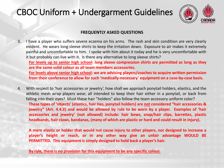

#### **FREQUENTLY ASKED QUESTIONS**

- 3. I have a player who suffers severe eczema on his arms. The rash and skin condition are very clearly evident. He wears long sleeve shirts to keep the irritation down. Exposure to air makes it extremely painful and uncomfortable to him. I spoke with him about it today and he is very uncomfortable with it but probably can live with it. Is there any alternative to long sleeve shirts? **For levels up to senior high school: long sleeve compression shirts are permitted as long as they are the same solid colour as all team members accessories. For levels above senior high school: we are advising players/coaches to acquire written permission from their conference to allow for such 'medically-necessary' equipment on a case-by-case basis.**
- 4. With respect to 'hair accessories or jewelry', how shall we approach ponytail holders, elastics, and the athletic mesh wrap players wear, all intended to keep their hair either in a ponytail, or back from falling into their eyes? Must these hair "holders" also follow the team accessory uniform color? **These types of 'objects' (elastics, hair ties, ponytail holders) are not considered "hair accessories & jewelry" (Art. 4.4.2) and would be allowed by rule to be worn by a player. Examples of 'hair accessories and jewelry' (not allowed) include: hair bows, snap/hair clips, barrettes, plastic headbands, hair claws, bandanas, (many of which are plastic or hard and could result in injury).**

**A mere elastic or holder that would not cause injury to other players, nor designed to increase a player's height or reach, or in any other way give an unfair advantage WOULD BE PERMITTED. This equipment is simply designed to hold back a player's hair.**

**By rule, there is no provision for this equipment to be any specific colour.**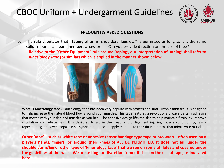

#### **FREQUENTLY ASKED QUESTIONS**

5. The rule stipulates that "**Taping** of arms, shoulders, legs etc." is permitted as long as it is the same solid colour as all team members accessories. Can you provide direction on the use of tape? **Relative to the "Other Equipment" rule around 'taping', our interpretation of 'taping' shall refer to** *Kinesiology Tape* **(or similar) which is applied in the manner shown below:**



**What is Kinesiology tape?** Kinesiology tape has been very popular with professional and Olympic athletes. It is designed to help increase the natural blood flow around your muscles. This tape features a revolutionary wave pattern adhesive that moves with your skin and muscles as you heal. The adhesive design lifts the skin to help maintain flexibility, improve circulation and relieve pain. It is designed to aid in the treatment of ligament injuries, muscle conditioning, fascia repositioning, and even carpal tunnel syndrome. To use it, apply the tape to the skin in patterns that mimic your muscles.

Other 'tape' - such as white tape or adhesive tensor bandage type tape or pro wrap - often used on a **player's hands, fingers, or around their knees SHALL BE PERMITTED. It does not fall under the shoulder/arm/leg or other type of 'kinesiology tape' that we see on some athletes and covered under** the guidelines of the rules. We are asking for discretion from officials on the use of tape, as indicated **here.**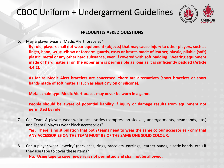

#### **FREQUENTLY ASKED QUESTIONS**

6. May a player wear a 'Medic Alert' bracelet?

**By rule, players shall not wear equipment (objects) that may cause injury to other players, such as finger, hand, wrist, elbow or forearm guards, casts or braces made of leather, plastic, pliable (soft) plastic, metal or any other hard substance, even if covered with soft padding. Wearing equipment** made of hard material on the upper arm is permissible as long as it is sufficiently padded (Article **4.4.2).**

**As far as Medic Alert bracelets are concerned, there are alternatives (sport bracelets or sport bands made of soft materialsuch as elastic nylon or silicone).**

**Metal, chain type Medic Alert braces may never be worn in a game.**

**People should be aware of potential liability if injury or damage results from equipment not permitted by rule.**

7. Can Team A players wear white accessories (compression sleeves, undergarments, headbands, etc.) and Team B players wear black accessories?

**Yes. There is no stipulation that both teams need to wear the same colour accessories - only that ANY ACCESSORIES ON THE TEAM MUST BE OF THE SAME ONE SOLID COLOUR.**

8. Can a player wear 'jewelry' (necklaces, rings, bracelets, earrings, leather bands, elastic bands, etc.) if they use tape to cover these items?

**No. Using tape to cover jewelry is not permitted and shall not be allowed.**